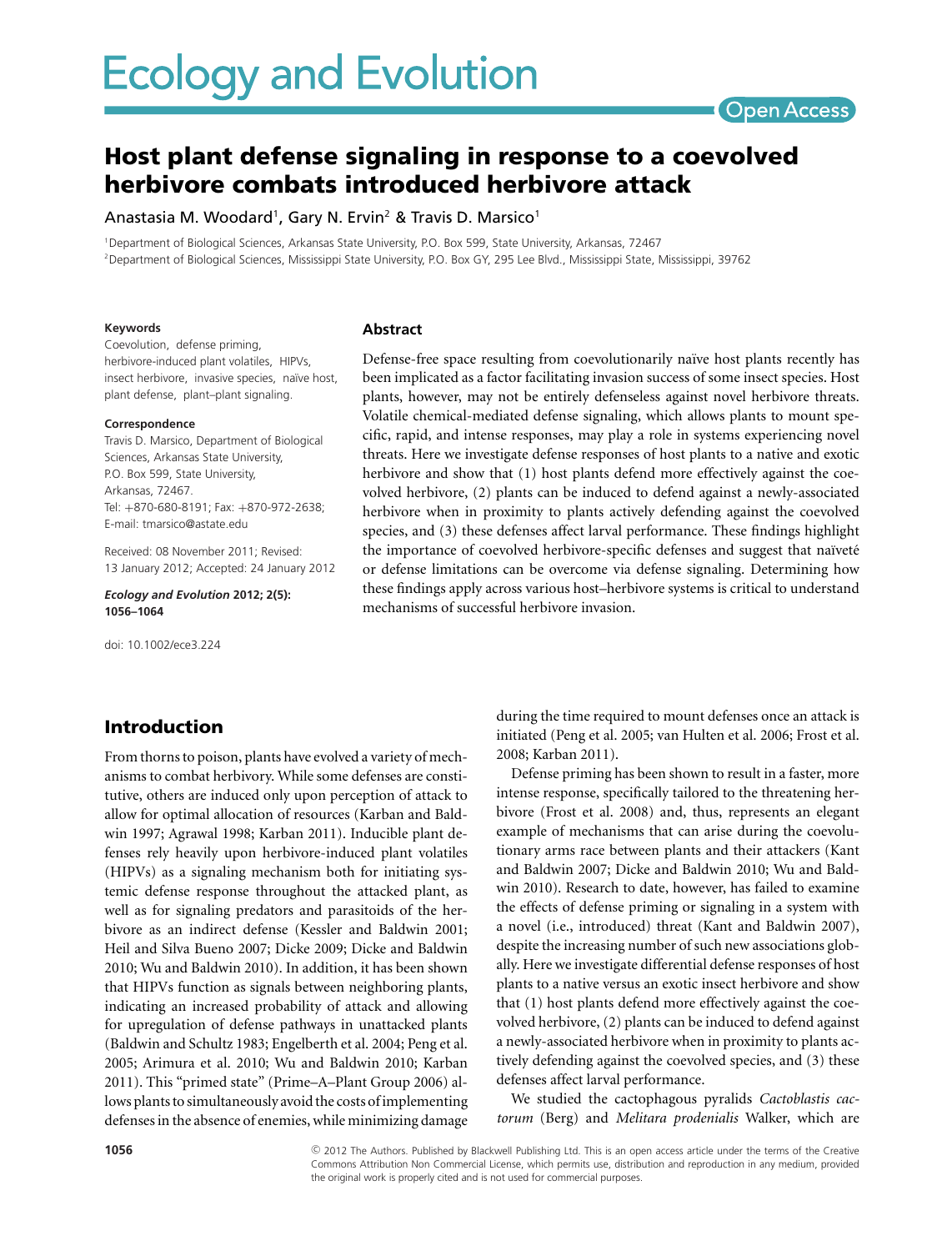# **Ecology and Evolution**

# Open Access

# **Host plant defense signaling in response to a coevolved herbivore combats introduced herbivore attack**

Anastasia M. Woodard<sup>1</sup>, Gary N. Ervin<sup>2</sup> & Travis D. Marsico<sup>1</sup>

1Department of Biological Sciences, Arkansas State University, P.O. Box 599, State University, Arkansas, 72467 <sup>2</sup>Department of Biological Sciences, Mississippi State University, P.O. Box GY, 295 Lee Blvd., Mississippi State, Mississippi, 39762

#### **Keywords**

#### **Abstract**

Coevolution, defense priming, herbivore-induced plant volatiles, HIPVs, insect herbivore, invasive species, naïve host, plant defense, plant–plant signaling.

#### **Correspondence**

Travis D. Marsico, Department of Biological Sciences, Arkansas State University, P.O. Box 599, State University, Arkansas, 72467. Tel: +870-680-8191; Fax: +870-972-2638; E-mail: tmarsico@astate.edu

Received: 08 November 2011; Revised: 13 January 2012; Accepted: 24 January 2012

*Ecology and Evolution* **2012; 2(5): 1056–1064**

doi: 10.1002/ece3.224

Defense-free space resulting from coevolutionarily naïve host plants recently has been implicated as a factor facilitating invasion success of some insect species. Host plants, however, may not be entirely defenseless against novel herbivore threats. Volatile chemical-mediated defense signaling, which allows plants to mount specific, rapid, and intense responses, may play a role in systems experiencing novel threats. Here we investigate defense responses of host plants to a native and exotic herbivore and show that (1) host plants defend more effectively against the coevolved herbivore, (2) plants can be induced to defend against a newly-associated herbivore when in proximity to plants actively defending against the coevolved species, and (3) these defenses affect larval performance. These findings highlight the importance of coevolved herbivore-specific defenses and suggest that naïveté or defense limitations can be overcome via defense signaling. Determining how these findings apply across various host–herbivore systems is critical to understand mechanisms of successful herbivore invasion.

# **Introduction**

From thorns to poison, plants have evolved a variety of mechanisms to combat herbivory. While some defenses are constitutive, others are induced only upon perception of attack to allow for optimal allocation of resources (Karban and Baldwin 1997; Agrawal 1998; Karban 2011). Inducible plant defenses rely heavily upon herbivore-induced plant volatiles (HIPVs) as a signaling mechanism both for initiating systemic defense response throughout the attacked plant, as well as for signaling predators and parasitoids of the herbivore as an indirect defense (Kessler and Baldwin 2001; Heil and Silva Bueno 2007; Dicke 2009; Dicke and Baldwin 2010; Wu and Baldwin 2010). In addition, it has been shown that HIPVs function as signals between neighboring plants, indicating an increased probability of attack and allowing for upregulation of defense pathways in unattacked plants (Baldwin and Schultz 1983; Engelberth et al. 2004; Peng et al. 2005; Arimura et al. 2010; Wu and Baldwin 2010; Karban 2011). This "primed state" (Prime–A–Plant Group 2006) allows plants to simultaneously avoid the costs of implementing defenses in the absence of enemies, while minimizing damage during the time required to mount defenses once an attack is initiated (Peng et al. 2005; van Hulten et al. 2006; Frost et al. 2008; Karban 2011).

Defense priming has been shown to result in a faster, more intense response, specifically tailored to the threatening herbivore (Frost et al. 2008) and, thus, represents an elegant example of mechanisms that can arise during the coevolutionary arms race between plants and their attackers (Kant and Baldwin 2007; Dicke and Baldwin 2010; Wu and Baldwin 2010). Research to date, however, has failed to examine the effects of defense priming or signaling in a system with a novel (i.e., introduced) threat (Kant and Baldwin 2007), despite the increasing number of such new associations globally. Here we investigate differential defense responses of host plants to a native versus an exotic insect herbivore and show that (1) host plants defend more effectively against the coevolved herbivore, (2) plants can be induced to defend against a newly-associated herbivore when in proximity to plants actively defending against the coevolved species, and (3) these defenses affect larval performance.

We studied the cactophagous pyralids *Cactoblastis cactorum* (Berg) and *Melitara prodenialis* Walker, which are

c 2012 The Authors. Published by Blackwell Publishing Ltd. This is an open access article under the terms of the Creative Commons Attribution Non Commercial License, which permits use, distribution and reproduction in any medium, provided the original work is properly cited and is not used for commercial purposes.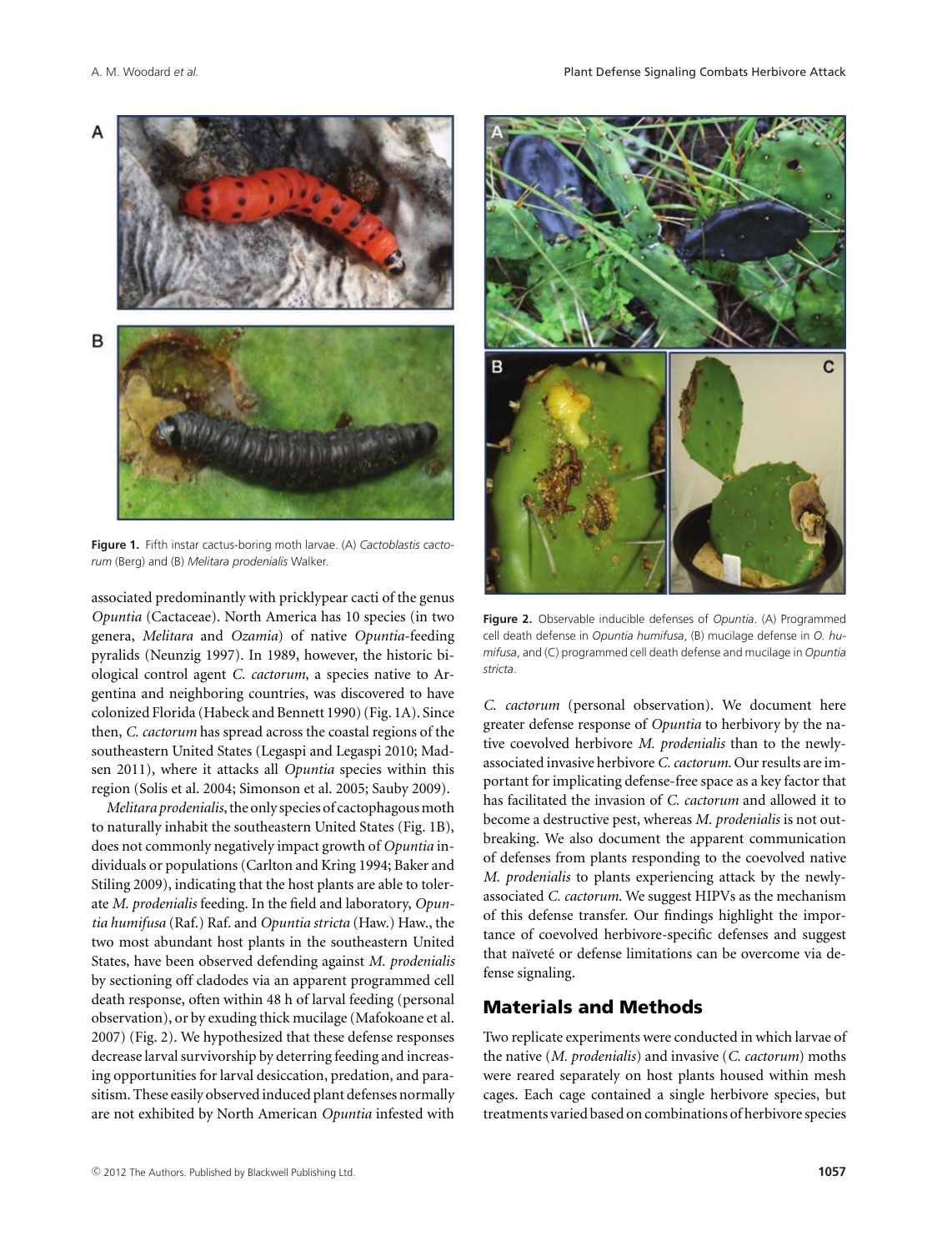

**Figure 1.** Fifth instar cactus-boring moth larvae. (A) *Cactoblastis cactorum* (Berg) and (B) *Melitara prodenialis* Walker.

associated predominantly with pricklypear cacti of the genus *Opuntia* (Cactaceae). North America has 10 species (in two genera, *Melitara* and *Ozamia*) of native *Opuntia*-feeding pyralids (Neunzig 1997). In 1989, however, the historic biological control agent *C. cactorum*, a species native to Argentina and neighboring countries, was discovered to have colonized Florida (Habeck and Bennett 1990) (Fig. 1A). Since then, *C. cactorum* has spread across the coastal regions of the southeastern United States (Legaspi and Legaspi 2010; Madsen 2011), where it attacks all *Opuntia* species within this region (Solis et al. 2004; Simonson et al. 2005; Sauby 2009).

*Melitara prodenialis*, the only species of cactophagous moth to naturally inhabit the southeastern United States (Fig. 1B), does not commonly negatively impact growth of *Opuntia* individuals or populations (Carlton and Kring 1994; Baker and Stiling 2009), indicating that the host plants are able to tolerate *M. prodenialis* feeding. In the field and laboratory, *Opuntia humifusa* (Raf.) Raf. and *Opuntia stricta* (Haw.) Haw., the two most abundant host plants in the southeastern United States, have been observed defending against *M. prodenialis* by sectioning off cladodes via an apparent programmed cell death response, often within 48 h of larval feeding (personal observation), or by exuding thick mucilage (Mafokoane et al. 2007) (Fig. 2). We hypothesized that these defense responses decrease larval survivorship by deterring feeding and increasing opportunities for larval desiccation, predation, and parasitism. These easily observed induced plant defenses normally are not exhibited by North American *Opuntia* infested with



**Figure 2.** Observable inducible defenses of *Opuntia*. (A) Programmed cell death defense in *Opuntia humifusa*, (B) mucilage defense in *O. humifusa*, and (C) programmed cell death defense and mucilage in *Opuntia stricta*.

*C. cactorum* (personal observation). We document here greater defense response of *Opuntia* to herbivory by the native coevolved herbivore *M. prodenialis* than to the newlyassociated invasive herbivore *C. cactorum*. Our results are important for implicating defense-free space as a key factor that has facilitated the invasion of *C. cactorum* and allowed it to become a destructive pest, whereas *M. prodenialis* is not outbreaking. We also document the apparent communication of defenses from plants responding to the coevolved native *M. prodenialis* to plants experiencing attack by the newlyassociated *C. cactorum*. We suggest HIPVs as the mechanism of this defense transfer. Our findings highlight the importance of coevolved herbivore-specific defenses and suggest that naïveté or defense limitations can be overcome via defense signaling.

# **Materials and Methods**

Two replicate experiments were conducted in which larvae of the native (*M. prodenialis*) and invasive (*C. cactorum*) moths were reared separately on host plants housed within mesh cages. Each cage contained a single herbivore species, but treatments varied based on combinations of herbivore species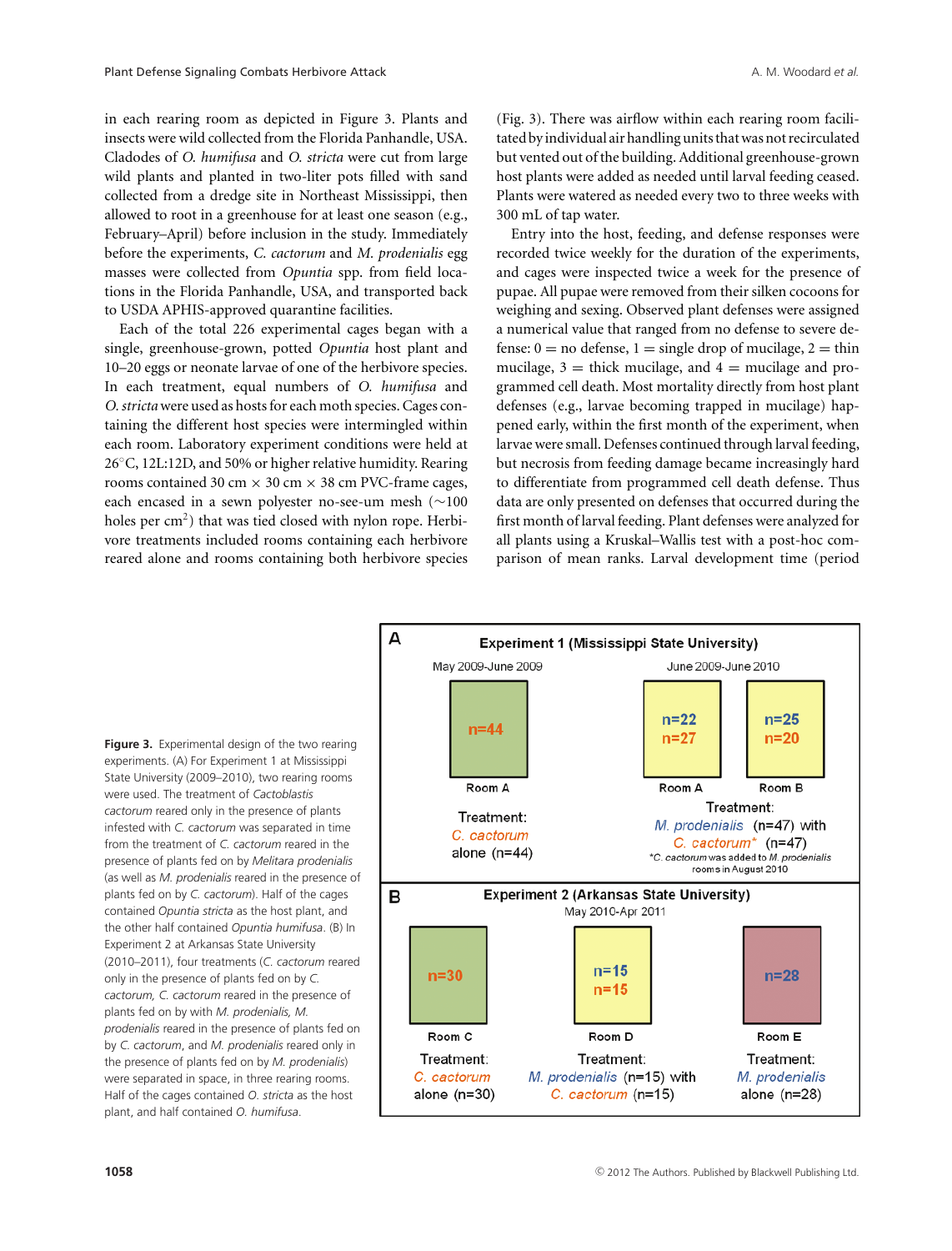to USDA APHIS-approved quarantine facilities.

in each rearing room as depicted in Figure 3. Plants and insects were wild collected from the Florida Panhandle, USA. Cladodes of *O. humifusa* and *O. stricta* were cut from large wild plants and planted in two-liter pots filled with sand collected from a dredge site in Northeast Mississippi, then allowed to root in a greenhouse for at least one season (e.g., February–April) before inclusion in the study. Immediately before the experiments, *C. cactorum* and *M. prodenialis* egg masses were collected from *Opuntia* spp. from field locations in the Florida Panhandle, USA, and transported back

Each of the total 226 experimental cages began with a single, greenhouse-grown, potted *Opuntia* host plant and 10–20 eggs or neonate larvae of one of the herbivore species. In each treatment, equal numbers of *O. humifusa* and *O. stricta* were used as hosts for each moth species. Cages containing the different host species were intermingled within each room. Laboratory experiment conditions were held at 26◦C, 12L:12D, and 50% or higher relative humidity. Rearing rooms contained 30 cm  $\times$  30 cm  $\times$  38 cm PVC-frame cages, each encased in a sewn polyester no-see-um mesh (∼100 holes per  $\text{cm}^2$ ) that was tied closed with nylon rope. Herbivore treatments included rooms containing each herbivore reared alone and rooms containing both herbivore species

A

(Fig. 3). There was airflow within each rearing room facilitated byindividual air handling units thatwas not recirculated but vented out of the building. Additional greenhouse-grown host plants were added as needed until larval feeding ceased. Plants were watered as needed every two to three weeks with 300 mL of tap water.

Entry into the host, feeding, and defense responses were recorded twice weekly for the duration of the experiments, and cages were inspected twice a week for the presence of pupae. All pupae were removed from their silken cocoons for weighing and sexing. Observed plant defenses were assigned a numerical value that ranged from no defense to severe defense:  $0 =$  no defense,  $1 =$  single drop of mucilage,  $2 =$  thin mucilage,  $3 =$  thick mucilage, and  $4 =$  mucilage and programmed cell death. Most mortality directly from host plant defenses (e.g., larvae becoming trapped in mucilage) happened early, within the first month of the experiment, when larvae were small. Defenses continued through larval feeding, but necrosis from feeding damage became increasingly hard to differentiate from programmed cell death defense. Thus data are only presented on defenses that occurred during the first month of larval feeding. Plant defenses were analyzed for all plants using a Kruskal–Wallis test with a post-hoc comparison of mean ranks. Larval development time (period

May 2009-June 2009 June 2009-June 2010  $n=22$  $n=25$  $n=44$  $n=27$  $n=20$ Room A Room A Room B Treatment: Treatment: M. prodenialis (n=47) with C. cactorum C. cactorum<sup>\*</sup> ( $n=47$ ) alone  $(n=44)$ \*C. cactorum was added to M. prodenialis rooms in August 2010 **Experiment 2 (Arkansas State University)** B May 2010-Apr 2011  $n=15$ n=30  $n=28$  $n=15$ Room C Room D Room E Treatment: Treatment: Treatment: C. cactorum M. prodenialis (n=15) with M. prodenialis alone  $(n=30)$ C. cactorum (n=15) alone  $(n=28)$ 

**Experiment 1 (Mississippi State University)** 

**Figure 3.** Experimental design of the two rearing experiments. (A) For Experiment 1 at Mississippi State University (2009–2010), two rearing rooms were used. The treatment of *Cactoblastis cactorum* reared only in the presence of plants infested with *C. cactorum* was separated in time from the treatment of *C. cactorum* reared in the presence of plants fed on by *Melitara prodenialis* (as well as *M. prodenialis* reared in the presence of plants fed on by *C. cactorum*). Half of the cages contained *Opuntia stricta* as the host plant, and the other half contained *Opuntia humifusa*. (B) In Experiment 2 at Arkansas State University (2010–2011), four treatments (*C. cactorum* reared only in the presence of plants fed on by *C. cactorum, C. cactorum* reared in the presence of plants fed on by with *M. prodenialis, M. prodenialis* reared in the presence of plants fed on by *C. cactorum*, and *M. prodenialis* reared only in the presence of plants fed on by *M. prodenialis*) were separated in space, in three rearing rooms. Half of the cages contained *O. stricta* as the host plant, and half contained *O. humifusa*.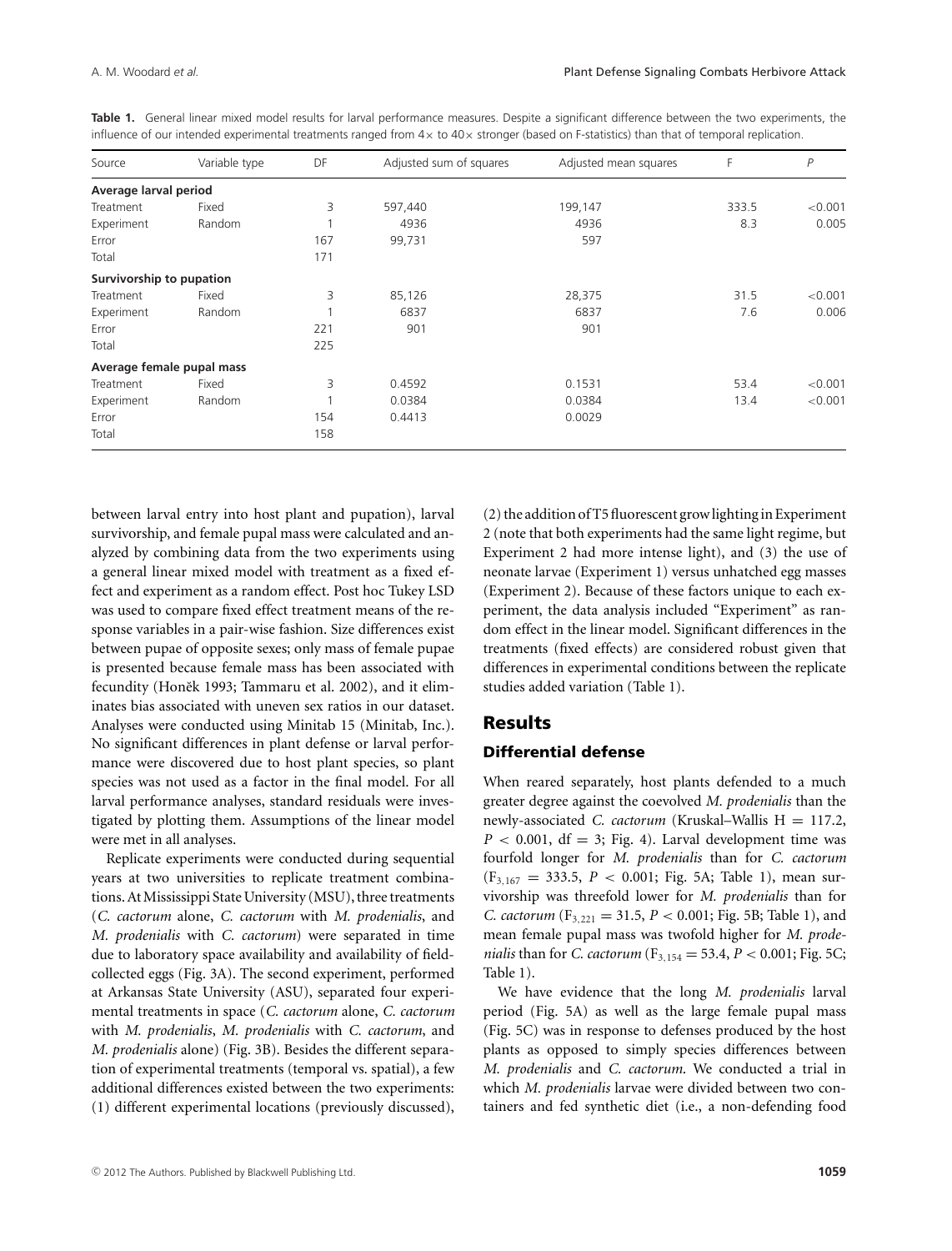| Source                    | Variable type | DF  | Adjusted sum of squares | Adjusted mean squares | F     | P       |
|---------------------------|---------------|-----|-------------------------|-----------------------|-------|---------|
| Average larval period     |               |     |                         |                       |       |         |
| Treatment                 | Fixed         | 3   | 597,440                 | 199,147               | 333.5 | < 0.001 |
| Experiment                | Random        |     | 4936                    | 4936                  | 8.3   | 0.005   |
| Error                     |               | 167 | 99,731                  | 597                   |       |         |
| Total                     |               | 171 |                         |                       |       |         |
| Survivorship to pupation  |               |     |                         |                       |       |         |
| Treatment                 | Fixed         | 3   | 85,126                  | 28,375                | 31.5  | < 0.001 |
| Experiment                | Random        |     | 6837                    | 6837                  | 7.6   | 0.006   |
| Error                     |               | 221 | 901                     | 901                   |       |         |
| Total                     |               | 225 |                         |                       |       |         |
| Average female pupal mass |               |     |                         |                       |       |         |
| Treatment                 | Fixed         | 3   | 0.4592                  | 0.1531                | 53.4  | < 0.001 |
| Experiment                | Random        |     | 0.0384                  | 0.0384                | 13.4  | < 0.001 |
| Error                     |               | 154 | 0.4413                  | 0.0029                |       |         |
| Total                     |               | 158 |                         |                       |       |         |

Table 1. General linear mixed model results for larval performance measures. Despite a significant difference between the two experiments, the influence of our intended experimental treatments ranged from  $4 \times$  to  $40 \times$  stronger (based on F-statistics) than that of temporal replication.

between larval entry into host plant and pupation), larval survivorship, and female pupal mass were calculated and analyzed by combining data from the two experiments using a general linear mixed model with treatment as a fixed effect and experiment as a random effect. Post hoc Tukey LSD was used to compare fixed effect treatment means of the response variables in a pair-wise fashion. Size differences exist between pupae of opposite sexes; only mass of female pupae is presented because female mass has been associated with fecundity (Honek 1993; Tammaru et al. 2002), and it eliminates bias associated with uneven sex ratios in our dataset. Analyses were conducted using Minitab 15 (Minitab, Inc.). No significant differences in plant defense or larval performance were discovered due to host plant species, so plant species was not used as a factor in the final model. For all larval performance analyses, standard residuals were investigated by plotting them. Assumptions of the linear model were met in all analyses.

Replicate experiments were conducted during sequential years at two universities to replicate treatment combinations. At Mississippi State University (MSU), three treatments (*C. cactorum* alone, *C. cactorum* with *M. prodenialis*, and *M. prodenialis* with *C. cactorum*) were separated in time due to laboratory space availability and availability of fieldcollected eggs (Fig. 3A). The second experiment, performed at Arkansas State University (ASU), separated four experimental treatments in space (*C. cactorum* alone, *C. cactorum* with *M. prodenialis*, *M. prodenialis* with *C. cactorum*, and *M. prodenialis* alone) (Fig. 3B). Besides the different separation of experimental treatments (temporal vs. spatial), a few additional differences existed between the two experiments: (1) different experimental locations (previously discussed), (2) the addition of T5 fluorescent grow lighting in Experiment 2 (note that both experiments had the same light regime, but Experiment 2 had more intense light), and (3) the use of neonate larvae (Experiment 1) versus unhatched egg masses (Experiment 2). Because of these factors unique to each experiment, the data analysis included "Experiment" as random effect in the linear model. Significant differences in the treatments (fixed effects) are considered robust given that differences in experimental conditions between the replicate studies added variation (Table 1).

# **Results**

#### **Differential defense**

When reared separately, host plants defended to a much greater degree against the coevolved *M. prodenialis* than the newly-associated *C. cactorum* (Kruskal–Wallis H = 117.2,  $P < 0.001$ , df = 3; Fig. 4). Larval development time was fourfold longer for *M. prodenialis* than for *C. cactorum*  $(F_{3,167} = 333.5, P < 0.001; Fig. 5A; Table 1), mean sur-$ vivorship was threefold lower for *M. prodenialis* than for *C. cactorum*  $(F_{3,221} = 31.5, P < 0.001; Fig. 5B; Table 1), and$ mean female pupal mass was twofold higher for *M. prodenialis* than for *C. cactorum* ( $F_{3,154} = 53.4$ ,  $P < 0.001$ ; Fig. 5C; Table 1).

We have evidence that the long *M. prodenialis* larval period (Fig. 5A) as well as the large female pupal mass (Fig. 5C) was in response to defenses produced by the host plants as opposed to simply species differences between *M. prodenialis* and *C. cactorum*. We conducted a trial in which *M. prodenialis* larvae were divided between two containers and fed synthetic diet (i.e., a non-defending food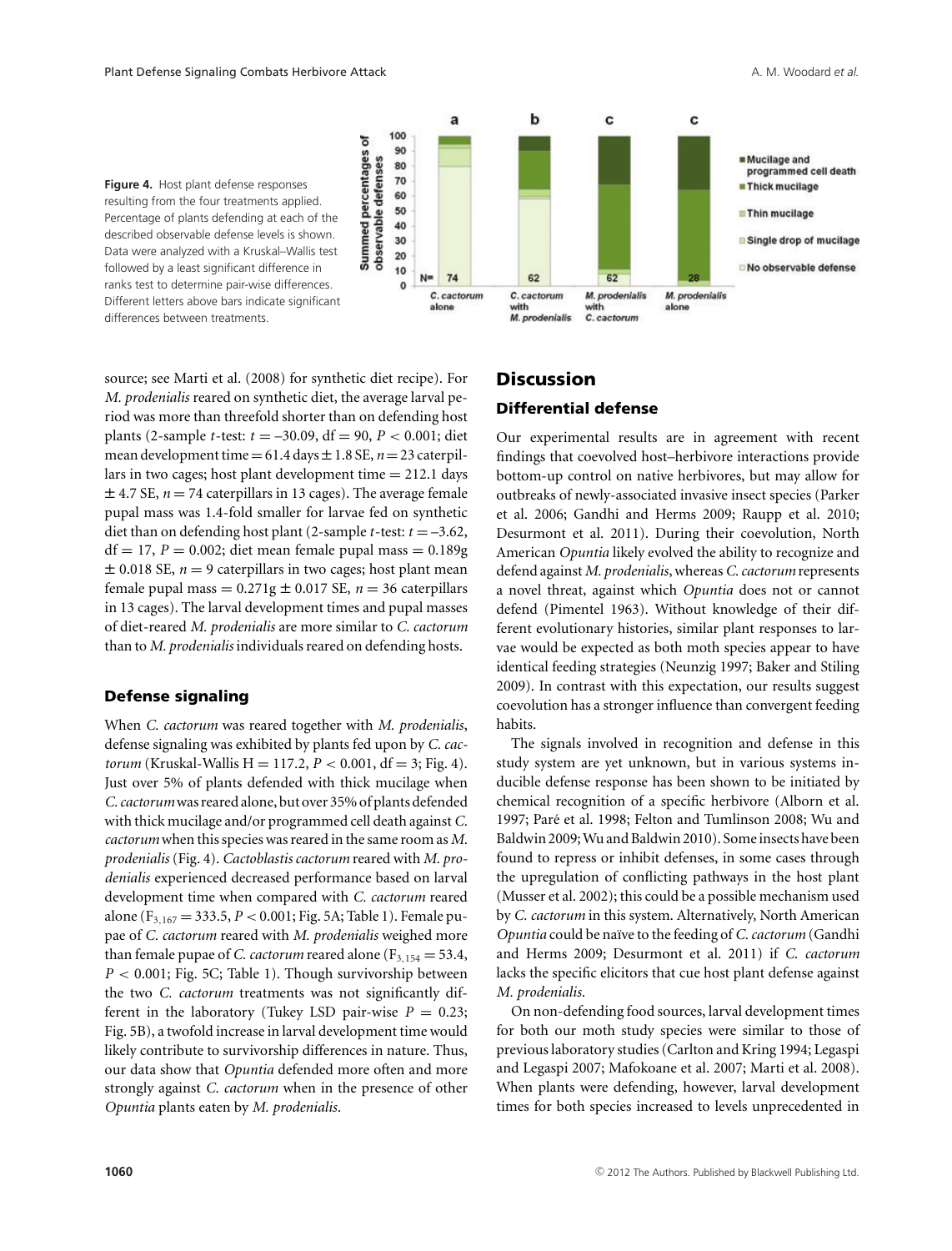

**Figure 4.** Host plant defense responses resulting from the four treatments applied. Percentage of plants defending at each of the described observable defense levels is shown. Data were analyzed with a Kruskal–Wallis test followed by a least significant difference in ranks test to determine pair-wise differences. Different letters above bars indicate significant differences between treatments.

source; see Marti et al. (2008) for synthetic diet recipe). For *M. prodenialis* reared on synthetic diet, the average larval period was more than threefold shorter than on defending host plants (2-sample *t*-test: *t* = –30.09, df = 90, *P* < 0.001; diet mean development time =  $61.4$  days  $\pm 1.8$  SE,  $n = 23$  caterpillars in two cages; host plant development time  $= 212.1$  days  $\pm$  4.7 SE,  $n = 74$  caterpillars in 13 cages). The average female pupal mass was 1.4-fold smaller for larvae fed on synthetic diet than on defending host plant (2-sample *t*-test:  $t = -3.62$ ,  $df = 17$ ,  $P = 0.002$ ; diet mean female pupal mass  $= 0.189$ g  $\pm$  0.018 SE,  $n = 9$  caterpillars in two cages; host plant mean female pupal mass =  $0.271g \pm 0.017$  SE,  $n = 36$  caterpillars in 13 cages). The larval development times and pupal masses of diet-reared *M. prodenialis* are more similar to *C. cactorum* than to *M. prodenialis* individuals reared on defending hosts.

#### **Defense signaling**

When *C. cactorum* was reared together with *M. prodenialis*, defense signaling was exhibited by plants fed upon by *C. cactorum* (Kruskal-Wallis H = 117.2,  $P < 0.001$ , df = 3; Fig. 4). Just over 5% of plants defended with thick mucilage when *C. cactorum*was reared alone, but over 35% of plants defended with thick mucilage and/or programmed cell death against *C. cactorum* when this species was reared in the same room as *M. prodenialis* (Fig. 4). *Cactoblastis cactorum* reared with *M. prodenialis* experienced decreased performance based on larval development time when compared with *C. cactorum* reared alone (F3,<sup>167</sup> = 333.5, *P* < 0.001; Fig. 5A; Table 1). Female pupae of *C. cactorum* reared with *M. prodenialis* weighed more than female pupae of *C. cactorum* reared alone ( $F_{3,154} = 53.4$ , *P* < 0.001; Fig. 5C; Table 1). Though survivorship between the two *C. cactorum* treatments was not significantly different in the laboratory (Tukey LSD pair-wise  $P = 0.23$ ; Fig. 5B), a twofold increase in larval development time would likely contribute to survivorship differences in nature. Thus, our data show that *Opuntia* defended more often and more strongly against *C. cactorum* when in the presence of other *Opuntia* plants eaten by *M. prodenialis*.

# **Discussion**

### **Differential defense**

Our experimental results are in agreement with recent findings that coevolved host–herbivore interactions provide bottom-up control on native herbivores, but may allow for outbreaks of newly-associated invasive insect species (Parker et al. 2006; Gandhi and Herms 2009; Raupp et al. 2010; Desurmont et al. 2011). During their coevolution, North American *Opuntia* likely evolved the ability to recognize and defend against *M. prodenialis*, whereas*C. cactorum*represents a novel threat, against which *Opuntia* does not or cannot defend (Pimentel 1963). Without knowledge of their different evolutionary histories, similar plant responses to larvae would be expected as both moth species appear to have identical feeding strategies (Neunzig 1997; Baker and Stiling 2009). In contrast with this expectation, our results suggest coevolution has a stronger influence than convergent feeding habits.

The signals involved in recognition and defense in this study system are yet unknown, but in various systems inducible defense response has been shown to be initiated by chemical recognition of a specific herbivore (Alborn et al. 1997; Paré et al. 1998; Felton and Tumlinson 2008; Wu and Baldwin 2009;Wu and Baldwin 2010). Someinsects have been found to repress or inhibit defenses, in some cases through the upregulation of conflicting pathways in the host plant (Musser et al. 2002); this could be a possible mechanism used by *C. cactorum* in this system. Alternatively, North American *Opuntia* could be na¨ıve to the feeding of *C. cactorum* (Gandhi and Herms 2009; Desurmont et al. 2011) if *C. cactorum* lacks the specific elicitors that cue host plant defense against *M. prodenialis*.

On non-defending food sources, larval development times for both our moth study species were similar to those of previous laboratory studies (Carlton and Kring 1994; Legaspi and Legaspi 2007; Mafokoane et al. 2007; Marti et al. 2008). When plants were defending, however, larval development times for both species increased to levels unprecedented in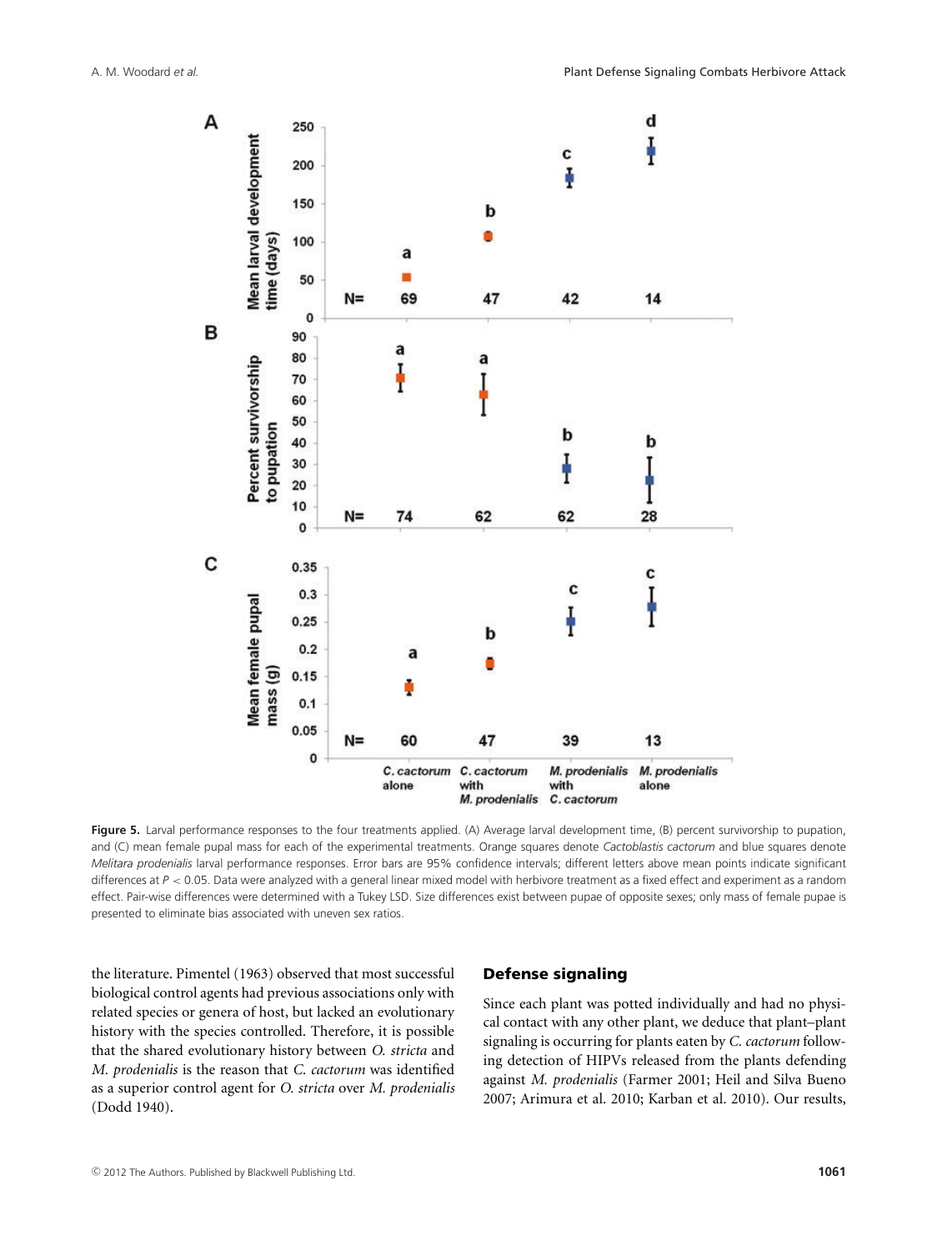

**Figure 5.** Larval performance responses to the four treatments applied. (A) Average larval development time, (B) percent survivorship to pupation, and (C) mean female pupal mass for each of the experimental treatments. Orange squares denote *Cactoblastis cactorum* and blue squares denote *Melitara prodenialis* larval performance responses. Error bars are 95% confidence intervals; different letters above mean points indicate significant differences at  $P < 0.05$ . Data were analyzed with a general linear mixed model with herbivore treatment as a fixed effect and experiment as a random effect. Pair-wise differences were determined with a Tukey LSD. Size differences exist between pupae of opposite sexes; only mass of female pupae is presented to eliminate bias associated with uneven sex ratios.

the literature. Pimentel (1963) observed that most successful biological control agents had previous associations only with related species or genera of host, but lacked an evolutionary history with the species controlled. Therefore, it is possible that the shared evolutionary history between *O. stricta* and *M. prodenialis* is the reason that *C. cactorum* was identified as a superior control agent for *O. stricta* over *M. prodenialis* (Dodd 1940).

#### **Defense signaling**

Since each plant was potted individually and had no physical contact with any other plant, we deduce that plant–plant signaling is occurring for plants eaten by *C. cactorum* following detection of HIPVs released from the plants defending against *M. prodenialis* (Farmer 2001; Heil and Silva Bueno 2007; Arimura et al. 2010; Karban et al. 2010). Our results,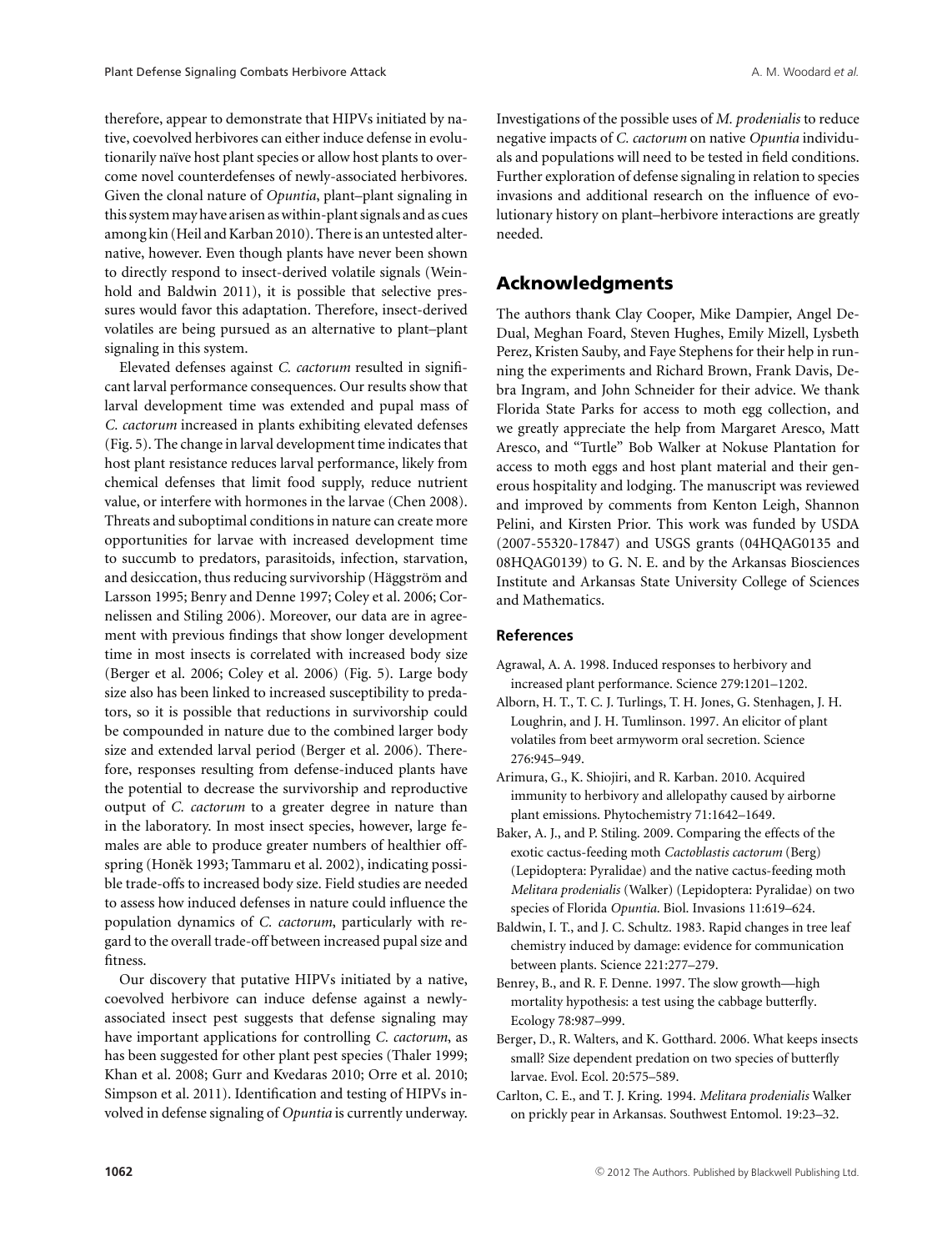therefore, appear to demonstrate that HIPVs initiated by native, coevolved herbivores can either induce defense in evolutionarily naïve host plant species or allow host plants to overcome novel counterdefenses of newly-associated herbivores. Given the clonal nature of *Opuntia*, plant–plant signaling in this system may have arisen as within-plant signals and as cues among kin (Heil and Karban 2010). There is an untested alternative, however. Even though plants have never been shown to directly respond to insect-derived volatile signals (Weinhold and Baldwin 2011), it is possible that selective pressures would favor this adaptation. Therefore, insect-derived volatiles are being pursued as an alternative to plant–plant signaling in this system.

Elevated defenses against *C. cactorum* resulted in significant larval performance consequences. Our results show that larval development time was extended and pupal mass of *C. cactorum* increased in plants exhibiting elevated defenses (Fig. 5). The change in larval development time indicates that host plant resistance reduces larval performance, likely from chemical defenses that limit food supply, reduce nutrient value, or interfere with hormones in the larvae (Chen 2008). Threats and suboptimal conditions in nature can create more opportunities for larvae with increased development time to succumb to predators, parasitoids, infection, starvation, and desiccation, thus reducing survivorship (Häggström and Larsson 1995; Benry and Denne 1997; Coley et al. 2006; Cornelissen and Stiling 2006). Moreover, our data are in agreement with previous findings that show longer development time in most insects is correlated with increased body size (Berger et al. 2006; Coley et al. 2006) (Fig. 5). Large body size also has been linked to increased susceptibility to predators, so it is possible that reductions in survivorship could be compounded in nature due to the combined larger body size and extended larval period (Berger et al. 2006). Therefore, responses resulting from defense-induced plants have the potential to decrease the survivorship and reproductive output of *C. cactorum* to a greater degree in nature than in the laboratory. In most insect species, however, large females are able to produce greater numbers of healthier offspring (Honěk 1993; Tammaru et al. 2002), indicating possible trade-offs to increased body size. Field studies are needed to assess how induced defenses in nature could influence the population dynamics of *C. cactorum*, particularly with regard to the overall trade-off between increased pupal size and fitness.

Our discovery that putative HIPVs initiated by a native, coevolved herbivore can induce defense against a newlyassociated insect pest suggests that defense signaling may have important applications for controlling *C. cactorum*, as has been suggested for other plant pest species (Thaler 1999; Khan et al. 2008; Gurr and Kvedaras 2010; Orre et al. 2010; Simpson et al. 2011). Identification and testing of HIPVs involved in defense signaling of *Opuntia* is currently underway. Investigations of the possible uses of *M. prodenialis* to reduce negative impacts of *C. cactorum* on native *Opuntia* individuals and populations will need to be tested in field conditions. Further exploration of defense signaling in relation to species invasions and additional research on the influence of evolutionary history on plant–herbivore interactions are greatly needed.

# **Acknowledgments**

The authors thank Clay Cooper, Mike Dampier, Angel De-Dual, Meghan Foard, Steven Hughes, Emily Mizell, Lysbeth Perez, Kristen Sauby, and Faye Stephens for their help in running the experiments and Richard Brown, Frank Davis, Debra Ingram, and John Schneider for their advice. We thank Florida State Parks for access to moth egg collection, and we greatly appreciate the help from Margaret Aresco, Matt Aresco, and "Turtle" Bob Walker at Nokuse Plantation for access to moth eggs and host plant material and their generous hospitality and lodging. The manuscript was reviewed and improved by comments from Kenton Leigh, Shannon Pelini, and Kirsten Prior. This work was funded by USDA (2007-55320-17847) and USGS grants (04HQAG0135 and 08HQAG0139) to G. N. E. and by the Arkansas Biosciences Institute and Arkansas State University College of Sciences and Mathematics.

#### **References**

- Agrawal, A. A. 1998. Induced responses to herbivory and increased plant performance. Science 279:1201–1202.
- Alborn, H. T., T. C. J. Turlings, T. H. Jones, G. Stenhagen, J. H. Loughrin, and J. H. Tumlinson. 1997. An elicitor of plant volatiles from beet armyworm oral secretion. Science 276:945–949.
- Arimura, G., K. Shiojiri, and R. Karban. 2010. Acquired immunity to herbivory and allelopathy caused by airborne plant emissions. Phytochemistry 71:1642–1649.
- Baker, A. J., and P. Stiling. 2009. Comparing the effects of the exotic cactus-feeding moth *Cactoblastis cactorum* (Berg) (Lepidoptera: Pyralidae) and the native cactus-feeding moth *Melitara prodenialis* (Walker) (Lepidoptera: Pyralidae) on two species of Florida *Opuntia*. Biol. Invasions 11:619–624.
- Baldwin, I. T., and J. C. Schultz. 1983. Rapid changes in tree leaf chemistry induced by damage: evidence for communication between plants. Science 221:277–279.
- Benrey, B., and R. F. Denne. 1997. The slow growth—high mortality hypothesis: a test using the cabbage butterfly. Ecology 78:987–999.
- Berger, D., R. Walters, and K. Gotthard. 2006. What keeps insects small? Size dependent predation on two species of butterfly larvae. Evol. Ecol. 20:575–589.
- Carlton, C. E., and T. J. Kring. 1994. *Melitara prodenialis* Walker on prickly pear in Arkansas. Southwest Entomol. 19:23–32.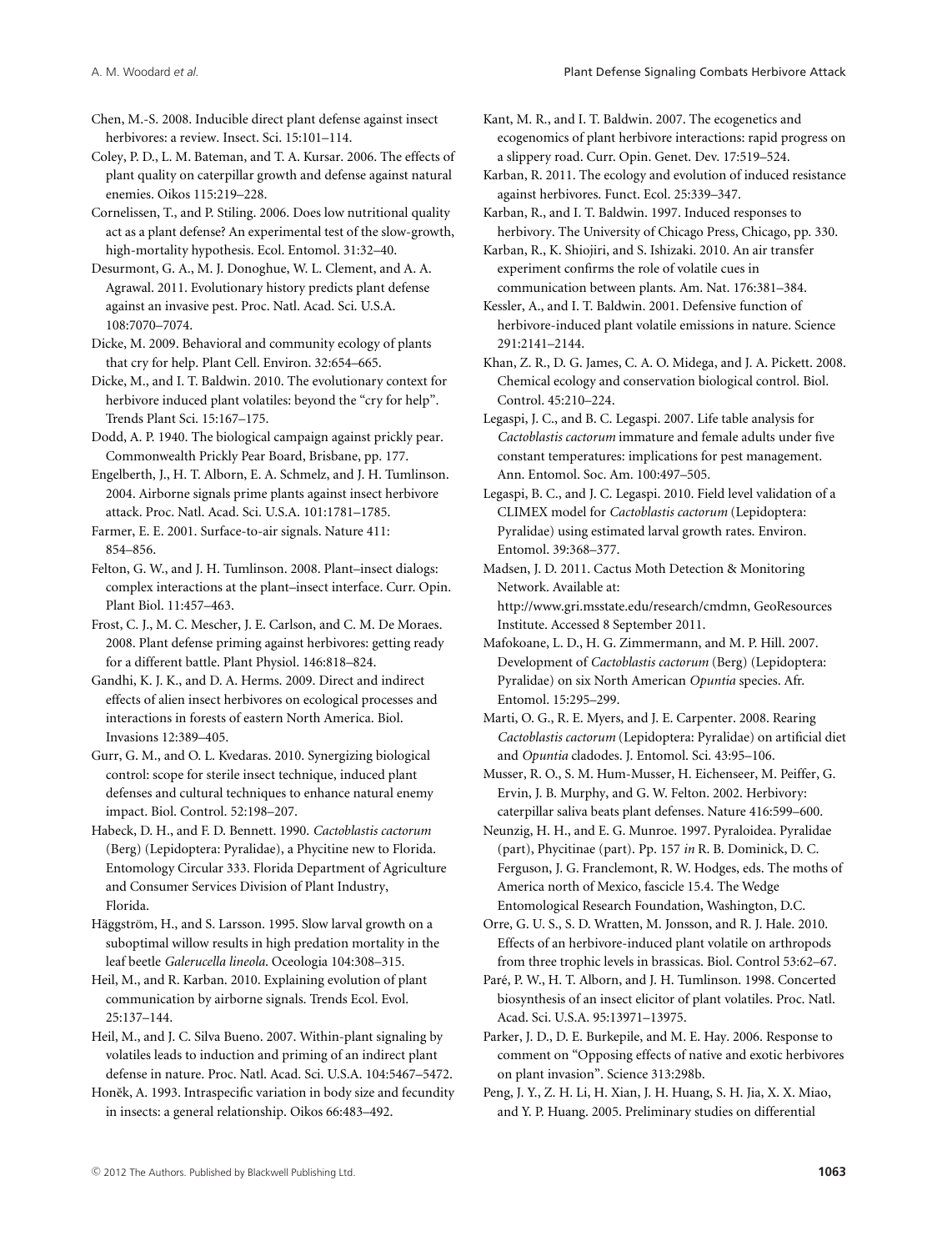Chen, M.-S. 2008. Inducible direct plant defense against insect herbivores: a review. Insect. Sci. 15:101-114.

Coley, P. D., L. M. Bateman, and T. A. Kursar. 2006. The effects of plant quality on caterpillar growth and defense against natural enemies. Oikos 115:219–228.

Cornelissen, T., and P. Stiling. 2006. Does low nutritional quality act as a plant defense? An experimental test of the slow-growth, high-mortality hypothesis. Ecol. Entomol. 31:32–40.

Desurmont, G. A., M. J. Donoghue, W. L. Clement, and A. A. Agrawal. 2011. Evolutionary history predicts plant defense against an invasive pest. Proc. Natl. Acad. Sci. U.S.A. 108:7070–7074.

Dicke, M. 2009. Behavioral and community ecology of plants that cry for help. Plant Cell. Environ. 32:654–665.

Dicke, M., and I. T. Baldwin. 2010. The evolutionary context for herbivore induced plant volatiles: beyond the "cry for help". Trends Plant Sci. 15:167–175.

Dodd, A. P. 1940. The biological campaign against prickly pear. Commonwealth Prickly Pear Board, Brisbane, pp. 177.

Engelberth, J., H. T. Alborn, E. A. Schmelz, and J. H. Tumlinson. 2004. Airborne signals prime plants against insect herbivore attack. Proc. Natl. Acad. Sci. U.S.A. 101:1781–1785.

Farmer, E. E. 2001. Surface-to-air signals. Nature 411: 854–856.

Felton, G. W., and J. H. Tumlinson. 2008. Plant–insect dialogs: complex interactions at the plant–insect interface. Curr. Opin. Plant Biol. 11:457–463.

Frost, C. J., M. C. Mescher, J. E. Carlson, and C. M. De Moraes. 2008. Plant defense priming against herbivores: getting ready for a different battle. Plant Physiol. 146:818–824.

Gandhi, K. J. K., and D. A. Herms. 2009. Direct and indirect effects of alien insect herbivores on ecological processes and interactions in forests of eastern North America. Biol. Invasions 12:389–405.

Gurr, G. M., and O. L. Kvedaras. 2010. Synergizing biological control: scope for sterile insect technique, induced plant defenses and cultural techniques to enhance natural enemy impact. Biol. Control. 52:198–207.

Habeck, D. H., and F. D. Bennett. 1990. *Cactoblastis cactorum* (Berg) (Lepidoptera: Pyralidae), a Phycitine new to Florida. Entomology Circular 333. Florida Department of Agriculture and Consumer Services Division of Plant Industry, Florida.

Häggström, H., and S. Larsson. 1995. Slow larval growth on a suboptimal willow results in high predation mortality in the leaf beetle *Galerucella lineola*. Oceologia 104:308–315.

Heil, M., and R. Karban. 2010. Explaining evolution of plant communication by airborne signals. Trends Ecol. Evol. 25:137–144.

Heil, M., and J. C. Silva Bueno. 2007. Within-plant signaling by volatiles leads to induction and priming of an indirect plant defense in nature. Proc. Natl. Acad. Sci. U.S.A. 104:5467–5472.

Honěk, A. 1993. Intraspecific variation in body size and fecundity in insects: a general relationship. Oikos 66:483–492.

Kant, M. R., and I. T. Baldwin. 2007. The ecogenetics and ecogenomics of plant herbivore interactions: rapid progress on a slippery road. Curr. Opin. Genet. Dev. 17:519–524.

Karban, R. 2011. The ecology and evolution of induced resistance against herbivores. Funct. Ecol. 25:339–347.

Karban, R., and I. T. Baldwin. 1997. Induced responses to herbivory. The University of Chicago Press, Chicago, pp. 330.

Karban, R., K. Shiojiri, and S. Ishizaki. 2010. An air transfer experiment confirms the role of volatile cues in communication between plants. Am. Nat. 176:381–384.

Kessler, A., and I. T. Baldwin. 2001. Defensive function of herbivore-induced plant volatile emissions in nature. Science 291:2141–2144.

Khan, Z. R., D. G. James, C. A. O. Midega, and J. A. Pickett. 2008. Chemical ecology and conservation biological control. Biol. Control. 45:210–224.

Legaspi, J. C., and B. C. Legaspi. 2007. Life table analysis for *Cactoblastis cactorum* immature and female adults under five constant temperatures: implications for pest management. Ann. Entomol. Soc. Am. 100:497–505.

Legaspi, B. C., and J. C. Legaspi. 2010. Field level validation of a CLIMEX model for *Cactoblastis cactorum* (Lepidoptera: Pyralidae) using estimated larval growth rates. Environ. Entomol. 39:368–377.

Madsen, J. D. 2011. Cactus Moth Detection & Monitoring Network. Available at: http://www.gri.msstate.edu/research/cmdmn, GeoResources Institute. Accessed 8 September 2011.

Mafokoane, L. D., H. G. Zimmermann, and M. P. Hill. 2007. Development of *Cactoblastis cactorum* (Berg) (Lepidoptera: Pyralidae) on six North American *Opuntia* species. Afr. Entomol. 15:295–299.

Marti, O. G., R. E. Myers, and J. E. Carpenter. 2008. Rearing *Cactoblastis cactorum* (Lepidoptera: Pyralidae) on artificial diet and *Opuntia* cladodes. J. Entomol. Sci. 43:95–106.

Musser, R. O., S. M. Hum-Musser, H. Eichenseer, M. Peiffer, G. Ervin, J. B. Murphy, and G. W. Felton. 2002. Herbivory: caterpillar saliva beats plant defenses. Nature 416:599–600.

Neunzig, H. H., and E. G. Munroe. 1997. Pyraloidea. Pyralidae (part), Phycitinae (part). Pp. 157 *in* R. B. Dominick, D. C. Ferguson, J. G. Franclemont, R. W. Hodges, eds. The moths of America north of Mexico, fascicle 15.4. The Wedge Entomological Research Foundation, Washington, D.C.

Orre, G. U. S., S. D. Wratten, M. Jonsson, and R. J. Hale. 2010. Effects of an herbivore-induced plant volatile on arthropods from three trophic levels in brassicas. Biol. Control 53:62–67.

Paré, P. W., H. T. Alborn, and J. H. Tumlinson. 1998. Concerted biosynthesis of an insect elicitor of plant volatiles. Proc. Natl. Acad. Sci. U.S.A. 95:13971–13975.

Parker, J. D., D. E. Burkepile, and M. E. Hay. 2006. Response to comment on "Opposing effects of native and exotic herbivores on plant invasion". Science 313:298b.

Peng, J. Y., Z. H. Li, H. Xian, J. H. Huang, S. H. Jia, X. X. Miao, and Y. P. Huang. 2005. Preliminary studies on differential